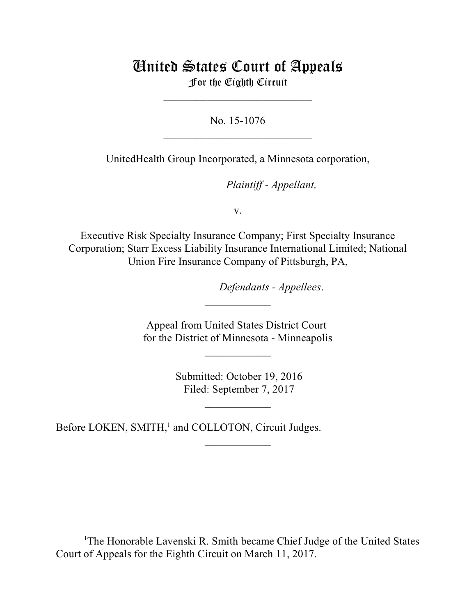## United States Court of Appeals For the Eighth Circuit

\_\_\_\_\_\_\_\_\_\_\_\_\_\_\_\_\_\_\_\_\_\_\_\_\_\_\_

No. 15-1076  $\mathcal{L}_\text{max}$  , which is a set of the set of the set of the set of the set of the set of the set of the set of the set of the set of the set of the set of the set of the set of the set of the set of the set of the set of

UnitedHealth Group Incorporated, a Minnesota corporation,

lllllllllllllllllllll *Plaintiff - Appellant,*

v.

Executive Risk Specialty Insurance Company; First Specialty Insurance Corporation; Starr Excess Liability Insurance International Limited; National Union Fire Insurance Company of Pittsburgh, PA,

 $Defendants$  - *Appellees*.

Appeal from United States District Court for the District of Minnesota - Minneapolis

 $\frac{1}{2}$ 

 $\frac{1}{2}$ 

 Submitted: October 19, 2016 Filed: September 7, 2017

 $\overline{\phantom{a}}$  , where  $\overline{\phantom{a}}$ 

 $\frac{1}{2}$ 

Before LOKEN, SMITH,<sup>1</sup> and COLLOTON, Circuit Judges.

<sup>&</sup>lt;sup>1</sup>The Honorable Lavenski R. Smith became Chief Judge of the United States Court of Appeals for the Eighth Circuit on March 11, 2017.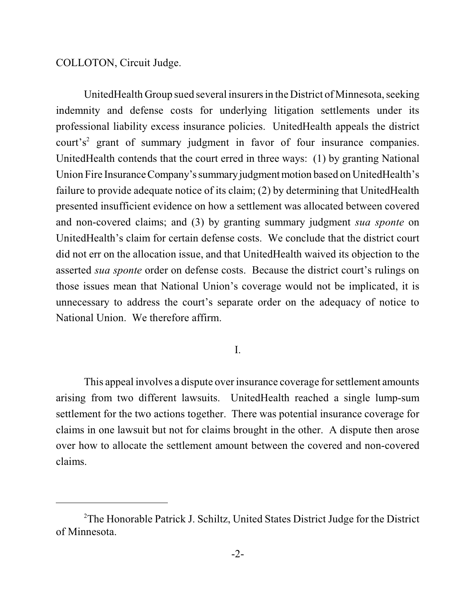COLLOTON, Circuit Judge.

UnitedHealth Group sued several insurers in the District of Minnesota, seeking indemnity and defense costs for underlying litigation settlements under its professional liability excess insurance policies. UnitedHealth appeals the district court's<sup>2</sup> grant of summary judgment in favor of four insurance companies. UnitedHealth contends that the court erred in three ways: (1) by granting National Union Fire Insurance Company's summary judgment motion based on UnitedHealth's failure to provide adequate notice of its claim; (2) by determining that UnitedHealth presented insufficient evidence on how a settlement was allocated between covered and non-covered claims; and (3) by granting summary judgment *sua sponte* on UnitedHealth's claim for certain defense costs. We conclude that the district court did not err on the allocation issue, and that UnitedHealth waived its objection to the asserted *sua sponte* order on defense costs. Because the district court's rulings on those issues mean that National Union's coverage would not be implicated, it is unnecessary to address the court's separate order on the adequacy of notice to National Union. We therefore affirm.

I.

This appeal involves a dispute over insurance coverage for settlement amounts arising from two different lawsuits. UnitedHealth reached a single lump-sum settlement for the two actions together. There was potential insurance coverage for claims in one lawsuit but not for claims brought in the other. A dispute then arose over how to allocate the settlement amount between the covered and non-covered claims.

<sup>2</sup>The Honorable Patrick J. Schiltz, United States District Judge for the District of Minnesota.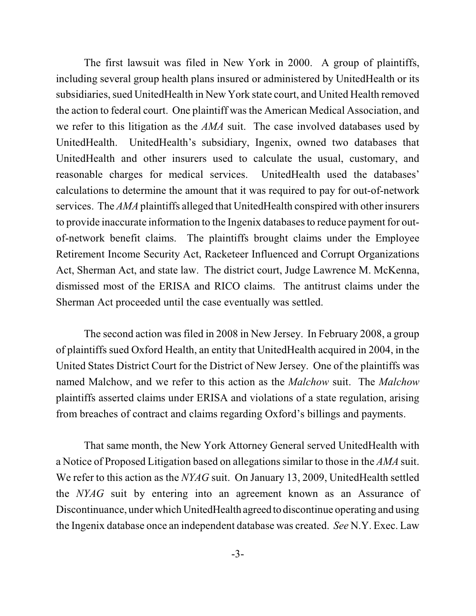The first lawsuit was filed in New York in 2000. A group of plaintiffs, including several group health plans insured or administered by UnitedHealth or its subsidiaries, sued UnitedHealth in New York state court, and United Health removed the action to federal court. One plaintiff was the American Medical Association, and we refer to this litigation as the *AMA* suit. The case involved databases used by UnitedHealth. UnitedHealth's subsidiary, Ingenix, owned two databases that UnitedHealth and other insurers used to calculate the usual, customary, and reasonable charges for medical services. UnitedHealth used the databases' calculations to determine the amount that it was required to pay for out-of-network services. The *AMA* plaintiffs alleged that UnitedHealth conspired with other insurers to provide inaccurate information to the Ingenix databases to reduce payment for outof-network benefit claims. The plaintiffs brought claims under the Employee Retirement Income Security Act, Racketeer Influenced and Corrupt Organizations Act, Sherman Act, and state law. The district court, Judge Lawrence M. McKenna, dismissed most of the ERISA and RICO claims. The antitrust claims under the Sherman Act proceeded until the case eventually was settled.

The second action wasfiled in 2008 in New Jersey. In February 2008, a group of plaintiffs sued Oxford Health, an entity that UnitedHealth acquired in 2004, in the United States District Court for the District of New Jersey. One of the plaintiffs was named Malchow, and we refer to this action as the *Malchow* suit. The *Malchow* plaintiffs asserted claims under ERISA and violations of a state regulation, arising from breaches of contract and claims regarding Oxford's billings and payments.

That same month, the New York Attorney General served UnitedHealth with a Notice of Proposed Litigation based on allegations similar to those in the *AMA* suit. We refer to this action as the *NYAG* suit. On January 13, 2009, UnitedHealth settled the *NYAG* suit by entering into an agreement known as an Assurance of Discontinuance, under which UnitedHealth agreed to discontinue operating and using the Ingenix database once an independent database was created. *See* N.Y. Exec. Law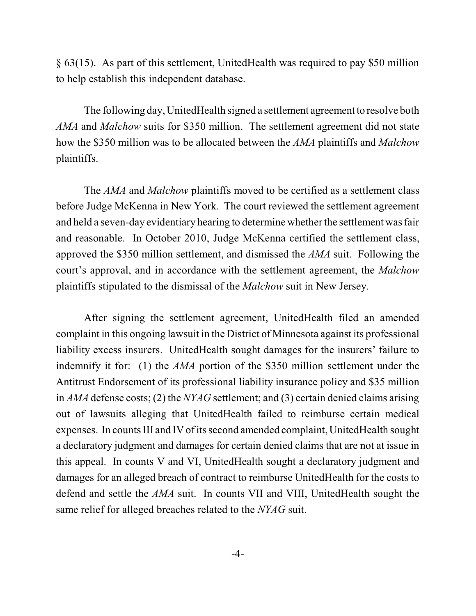§ 63(15). As part of this settlement, UnitedHealth was required to pay \$50 million to help establish this independent database.

The following day, UnitedHealth signed a settlement agreement to resolve both *AMA* and *Malchow* suits for \$350 million. The settlement agreement did not state how the \$350 million was to be allocated between the *AMA* plaintiffs and *Malchow* plaintiffs.

The *AMA* and *Malchow* plaintiffs moved to be certified as a settlement class before Judge McKenna in New York. The court reviewed the settlement agreement and held a seven-day evidentiary hearing to determine whether the settlement wasfair and reasonable. In October 2010, Judge McKenna certified the settlement class, approved the \$350 million settlement, and dismissed the *AMA* suit. Following the court's approval, and in accordance with the settlement agreement, the *Malchow* plaintiffs stipulated to the dismissal of the *Malchow* suit in New Jersey.

After signing the settlement agreement, UnitedHealth filed an amended complaint in this ongoing lawsuit in the District of Minnesota against its professional liability excess insurers. UnitedHealth sought damages for the insurers' failure to indemnify it for: (1) the *AMA* portion of the \$350 million settlement under the Antitrust Endorsement of its professional liability insurance policy and \$35 million in *AMA* defense costs; (2) the *NYAG* settlement; and (3) certain denied claims arising out of lawsuits alleging that UnitedHealth failed to reimburse certain medical expenses. In counts III and IV of its second amended complaint, UnitedHealth sought a declaratory judgment and damages for certain denied claims that are not at issue in this appeal. In counts V and VI, UnitedHealth sought a declaratory judgment and damages for an alleged breach of contract to reimburse UnitedHealth for the costs to defend and settle the *AMA* suit. In counts VII and VIII, UnitedHealth sought the same relief for alleged breaches related to the *NYAG* suit.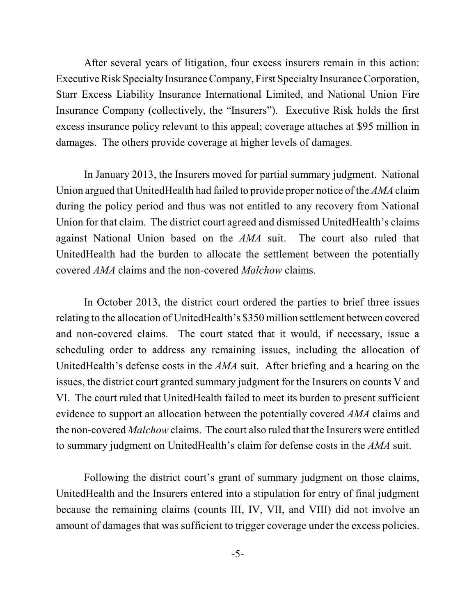After several years of litigation, four excess insurers remain in this action: Executive Risk Specialty Insurance Company, First Specialty Insurance Corporation, Starr Excess Liability Insurance International Limited, and National Union Fire Insurance Company (collectively, the "Insurers"). Executive Risk holds the first excess insurance policy relevant to this appeal; coverage attaches at \$95 million in damages. The others provide coverage at higher levels of damages.

In January 2013, the Insurers moved for partial summary judgment. National Union argued that UnitedHealth had failed to provide proper notice of the *AMA* claim during the policy period and thus was not entitled to any recovery from National Union for that claim. The district court agreed and dismissed UnitedHealth's claims against National Union based on the *AMA* suit. The court also ruled that UnitedHealth had the burden to allocate the settlement between the potentially covered *AMA* claims and the non-covered *Malchow* claims.

In October 2013, the district court ordered the parties to brief three issues relating to the allocation of UnitedHealth's \$350 million settlement between covered and non-covered claims. The court stated that it would, if necessary, issue a scheduling order to address any remaining issues, including the allocation of UnitedHealth's defense costs in the *AMA* suit. After briefing and a hearing on the issues, the district court granted summary judgment for the Insurers on counts V and VI. The court ruled that UnitedHealth failed to meet its burden to present sufficient evidence to support an allocation between the potentially covered *AMA* claims and the non-covered *Malchow* claims. The court also ruled that the Insurers were entitled to summary judgment on UnitedHealth's claim for defense costs in the *AMA* suit.

Following the district court's grant of summary judgment on those claims, UnitedHealth and the Insurers entered into a stipulation for entry of final judgment because the remaining claims (counts III, IV, VII, and VIII) did not involve an amount of damages that was sufficient to trigger coverage under the excess policies.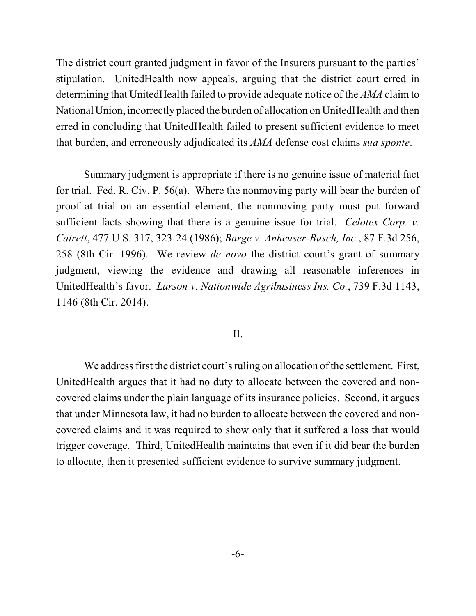The district court granted judgment in favor of the Insurers pursuant to the parties' stipulation. UnitedHealth now appeals, arguing that the district court erred in determining that UnitedHealth failed to provide adequate notice of the *AMA* claim to National Union, incorrectly placed the burden of allocation on UnitedHealth and then erred in concluding that UnitedHealth failed to present sufficient evidence to meet that burden, and erroneously adjudicated its *AMA* defense cost claims *sua sponte*.

Summary judgment is appropriate if there is no genuine issue of material fact for trial. Fed. R. Civ. P. 56(a). Where the nonmoving party will bear the burden of proof at trial on an essential element, the nonmoving party must put forward sufficient facts showing that there is a genuine issue for trial. *Celotex Corp. v. Catrett*, 477 U.S. 317, 323-24 (1986); *Barge v. Anheuser-Busch, Inc.*, 87 F.3d 256, 258 (8th Cir. 1996). We review *de novo* the district court's grant of summary judgment, viewing the evidence and drawing all reasonable inferences in UnitedHealth's favor. *Larson v. Nationwide Agribusiness Ins. Co.*, 739 F.3d 1143, 1146 (8th Cir. 2014).

## II.

We address first the district court's ruling on allocation of the settlement. First, UnitedHealth argues that it had no duty to allocate between the covered and noncovered claims under the plain language of its insurance policies. Second, it argues that under Minnesota law, it had no burden to allocate between the covered and noncovered claims and it was required to show only that it suffered a loss that would trigger coverage. Third, UnitedHealth maintains that even if it did bear the burden to allocate, then it presented sufficient evidence to survive summary judgment.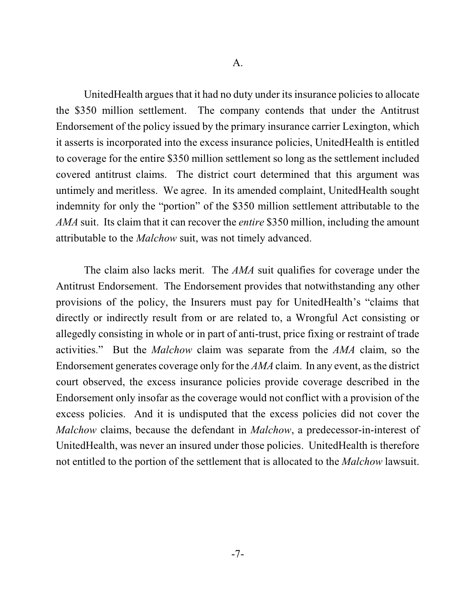UnitedHealth argues that it had no duty under its insurance policies to allocate the \$350 million settlement. The company contends that under the Antitrust Endorsement of the policy issued by the primary insurance carrier Lexington, which it asserts is incorporated into the excess insurance policies, UnitedHealth is entitled to coverage for the entire \$350 million settlement so long as the settlement included covered antitrust claims. The district court determined that this argument was untimely and meritless. We agree. In its amended complaint, UnitedHealth sought indemnity for only the "portion" of the \$350 million settlement attributable to the *AMA* suit. Its claim that it can recover the *entire* \$350 million, including the amount attributable to the *Malchow* suit, was not timely advanced.

The claim also lacks merit. The *AMA* suit qualifies for coverage under the Antitrust Endorsement. The Endorsement provides that notwithstanding any other provisions of the policy, the Insurers must pay for UnitedHealth's "claims that directly or indirectly result from or are related to, a Wrongful Act consisting or allegedly consisting in whole or in part of anti-trust, price fixing or restraint of trade activities." But the *Malchow* claim was separate from the *AMA* claim, so the Endorsement generates coverage only for the *AMA* claim. In any event, asthe district court observed, the excess insurance policies provide coverage described in the Endorsement only insofar as the coverage would not conflict with a provision of the excess policies. And it is undisputed that the excess policies did not cover the *Malchow* claims, because the defendant in *Malchow*, a predecessor-in-interest of UnitedHealth, was never an insured under those policies. UnitedHealth is therefore not entitled to the portion of the settlement that is allocated to the *Malchow* lawsuit.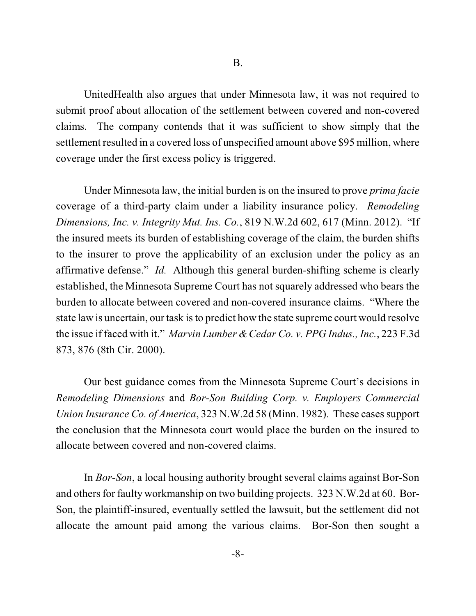UnitedHealth also argues that under Minnesota law, it was not required to submit proof about allocation of the settlement between covered and non-covered claims. The company contends that it was sufficient to show simply that the settlement resulted in a covered loss of unspecified amount above \$95 million, where coverage under the first excess policy is triggered.

Under Minnesota law, the initial burden is on the insured to prove *prima facie* coverage of a third-party claim under a liability insurance policy. *Remodeling Dimensions, Inc. v. Integrity Mut. Ins. Co.*, 819 N.W.2d 602, 617 (Minn. 2012). "If the insured meets its burden of establishing coverage of the claim, the burden shifts to the insurer to prove the applicability of an exclusion under the policy as an affirmative defense." *Id.* Although this general burden-shifting scheme is clearly established, the Minnesota Supreme Court has not squarely addressed who bears the burden to allocate between covered and non-covered insurance claims. "Where the state law is uncertain, our task isto predict how the state supreme court would resolve the issue if faced with it." *Marvin Lumber & Cedar Co. v. PPG Indus., Inc.*, 223 F.3d 873, 876 (8th Cir. 2000).

Our best guidance comes from the Minnesota Supreme Court's decisions in *Remodeling Dimensions* and *Bor-Son Building Corp. v. Employers Commercial Union Insurance Co. of America*, 323 N.W.2d 58 (Minn. 1982). These cases support the conclusion that the Minnesota court would place the burden on the insured to allocate between covered and non-covered claims.

In *Bor-Son*, a local housing authority brought several claims against Bor-Son and others for faulty workmanship on two building projects. 323 N.W.2d at 60. Bor-Son, the plaintiff-insured, eventually settled the lawsuit, but the settlement did not allocate the amount paid among the various claims. Bor-Son then sought a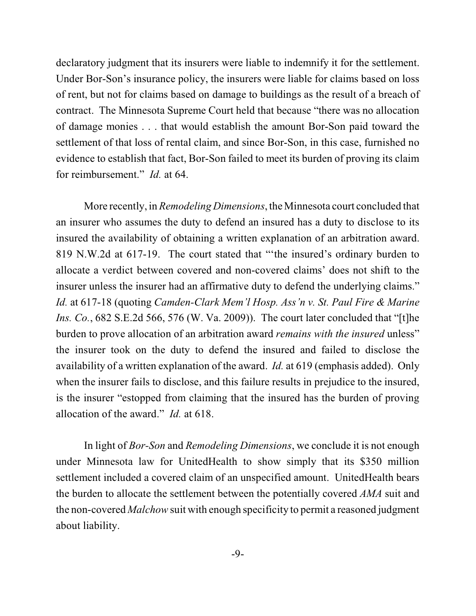declaratory judgment that its insurers were liable to indemnify it for the settlement. Under Bor-Son's insurance policy, the insurers were liable for claims based on loss of rent, but not for claims based on damage to buildings as the result of a breach of contract. The Minnesota Supreme Court held that because "there was no allocation of damage monies . . . that would establish the amount Bor-Son paid toward the settlement of that loss of rental claim, and since Bor-Son, in this case, furnished no evidence to establish that fact, Bor-Son failed to meet its burden of proving its claim for reimbursement." *Id.* at 64.

More recently, in *Remodeling Dimensions*, the Minnesota court concluded that an insurer who assumes the duty to defend an insured has a duty to disclose to its insured the availability of obtaining a written explanation of an arbitration award. 819 N.W.2d at 617-19. The court stated that "'the insured's ordinary burden to allocate a verdict between covered and non-covered claims' does not shift to the insurer unless the insurer had an affirmative duty to defend the underlying claims." *Id.* at 617-18 (quoting *Camden-Clark Mem'l Hosp. Ass'n v. St. Paul Fire & Marine Ins. Co.*, 682 S.E.2d 566, 576 (W. Va. 2009)). The court later concluded that "[t]he burden to prove allocation of an arbitration award *remains with the insured* unless" the insurer took on the duty to defend the insured and failed to disclose the availability of a written explanation of the award. *Id.* at 619 (emphasis added). Only when the insurer fails to disclose, and this failure results in prejudice to the insured, is the insurer "estopped from claiming that the insured has the burden of proving allocation of the award." *Id.* at 618.

In light of *Bor-Son* and *Remodeling Dimensions*, we conclude it is not enough under Minnesota law for UnitedHealth to show simply that its \$350 million settlement included a covered claim of an unspecified amount. UnitedHealth bears the burden to allocate the settlement between the potentially covered *AMA* suit and the non-covered *Malchow* suit with enough specificity to permit a reasoned judgment about liability.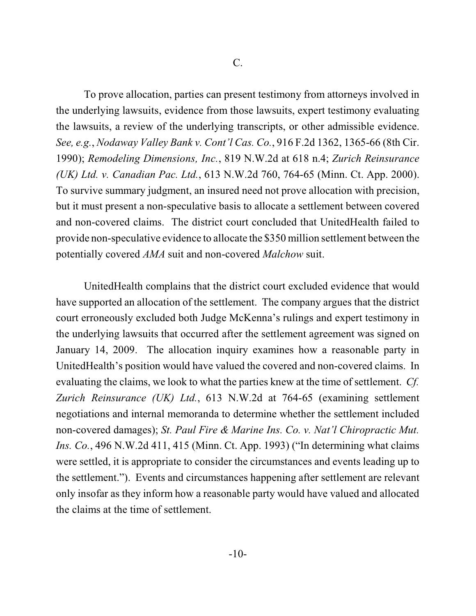To prove allocation, parties can present testimony from attorneys involved in the underlying lawsuits, evidence from those lawsuits, expert testimony evaluating the lawsuits, a review of the underlying transcripts, or other admissible evidence. *See, e.g.*, *Nodaway Valley Bank v. Cont'l Cas. Co.*, 916 F.2d 1362, 1365-66 (8th Cir. 1990); *Remodeling Dimensions, Inc.*, 819 N.W.2d at 618 n.4; *Zurich Reinsurance (UK) Ltd. v. Canadian Pac. Ltd.*, 613 N.W.2d 760, 764-65 (Minn. Ct. App. 2000). To survive summary judgment, an insured need not prove allocation with precision, but it must present a non-speculative basis to allocate a settlement between covered and non-covered claims. The district court concluded that UnitedHealth failed to provide non-speculative evidence to allocate the \$350 million settlement between the potentially covered *AMA* suit and non-covered *Malchow* suit.

UnitedHealth complains that the district court excluded evidence that would have supported an allocation of the settlement. The company argues that the district court erroneously excluded both Judge McKenna's rulings and expert testimony in the underlying lawsuits that occurred after the settlement agreement was signed on January 14, 2009. The allocation inquiry examines how a reasonable party in UnitedHealth's position would have valued the covered and non-covered claims. In evaluating the claims, we look to what the parties knew at the time of settlement. *Cf. Zurich Reinsurance (UK) Ltd.*, 613 N.W.2d at 764-65 (examining settlement negotiations and internal memoranda to determine whether the settlement included non-covered damages); *St. Paul Fire & Marine Ins. Co. v. Nat'l Chiropractic Mut. Ins. Co.*, 496 N.W.2d 411, 415 (Minn. Ct. App. 1993) ("In determining what claims were settled, it is appropriate to consider the circumstances and events leading up to the settlement."). Events and circumstances happening after settlement are relevant only insofar as they inform how a reasonable party would have valued and allocated the claims at the time of settlement.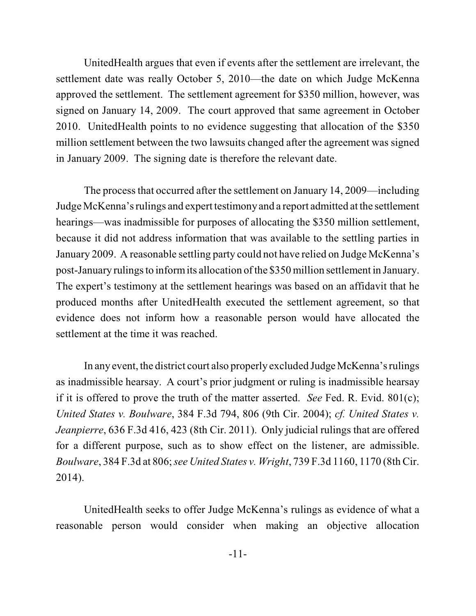UnitedHealth argues that even if events after the settlement are irrelevant, the settlement date was really October 5, 2010—the date on which Judge McKenna approved the settlement. The settlement agreement for \$350 million, however, was signed on January 14, 2009. The court approved that same agreement in October 2010. UnitedHealth points to no evidence suggesting that allocation of the \$350 million settlement between the two lawsuits changed after the agreement was signed in January 2009. The signing date is therefore the relevant date.

The process that occurred after the settlement on January 14, 2009—including JudgeMcKenna's rulings and expert testimony and a report admitted at the settlement hearings—was inadmissible for purposes of allocating the \$350 million settlement, because it did not address information that was available to the settling parties in January 2009. A reasonable settling party could not have relied on Judge McKenna's post-January rulingsto informits allocation ofthe \$350 million settlement in January. The expert's testimony at the settlement hearings was based on an affidavit that he produced months after UnitedHealth executed the settlement agreement, so that evidence does not inform how a reasonable person would have allocated the settlement at the time it was reached.

In any event, the district court also properly excluded Judge McKenna's rulings as inadmissible hearsay. A court's prior judgment or ruling is inadmissible hearsay if it is offered to prove the truth of the matter asserted. *See* Fed. R. Evid. 801(c); *United States v. Boulware*, 384 F.3d 794, 806 (9th Cir. 2004); *cf. United States v. Jeanpierre*, 636 F.3d 416, 423 (8th Cir. 2011). Only judicial rulings that are offered for a different purpose, such as to show effect on the listener, are admissible. *Boulware*, 384 F.3d at 806;*see United States v. Wright*, 739 F.3d 1160, 1170 (8th Cir. 2014).

UnitedHealth seeks to offer Judge McKenna's rulings as evidence of what a reasonable person would consider when making an objective allocation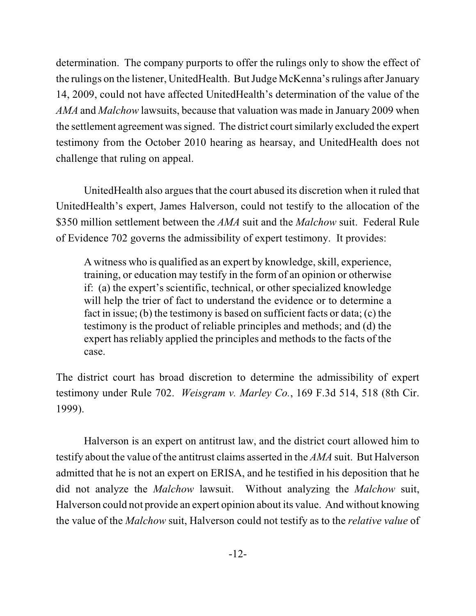determination. The company purports to offer the rulings only to show the effect of the rulings on the listener, UnitedHealth. But Judge McKenna's rulings after January 14, 2009, could not have affected UnitedHealth's determination of the value of the *AMA* and *Malchow* lawsuits, because that valuation was made in January 2009 when the settlement agreement wassigned. The district court similarly excluded the expert testimony from the October 2010 hearing as hearsay, and UnitedHealth does not challenge that ruling on appeal.

UnitedHealth also argues that the court abused its discretion when it ruled that UnitedHealth's expert, James Halverson, could not testify to the allocation of the \$350 million settlement between the *AMA* suit and the *Malchow* suit. Federal Rule of Evidence 702 governs the admissibility of expert testimony. It provides:

A witness who is qualified as an expert by knowledge, skill, experience, training, or education may testify in the form of an opinion or otherwise if: (a) the expert's scientific, technical, or other specialized knowledge will help the trier of fact to understand the evidence or to determine a fact in issue; (b) the testimony is based on sufficient facts or data; (c) the testimony is the product of reliable principles and methods; and (d) the expert has reliably applied the principles and methods to the facts of the case.

The district court has broad discretion to determine the admissibility of expert testimony under Rule 702. *Weisgram v. Marley Co.*, 169 F.3d 514, 518 (8th Cir. 1999).

Halverson is an expert on antitrust law, and the district court allowed him to testify about the value of the antitrust claims asserted in the *AMA* suit. But Halverson admitted that he is not an expert on ERISA, and he testified in his deposition that he did not analyze the *Malchow* lawsuit. Without analyzing the *Malchow* suit, Halverson could not provide an expert opinion about its value. And without knowing the value of the *Malchow* suit, Halverson could not testify as to the *relative value* of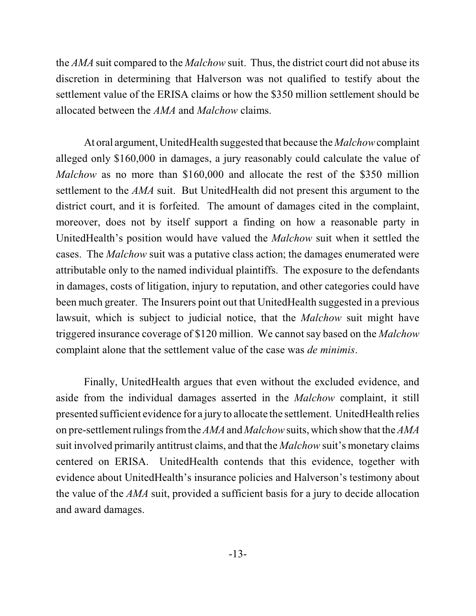the *AMA* suit compared to the *Malchow* suit. Thus, the district court did not abuse its discretion in determining that Halverson was not qualified to testify about the settlement value of the ERISA claims or how the \$350 million settlement should be allocated between the *AMA* and *Malchow* claims.

At oral argument, UnitedHealth suggested that because the *Malchow*complaint alleged only \$160,000 in damages, a jury reasonably could calculate the value of *Malchow* as no more than \$160,000 and allocate the rest of the \$350 million settlement to the *AMA* suit. But UnitedHealth did not present this argument to the district court, and it is forfeited. The amount of damages cited in the complaint, moreover, does not by itself support a finding on how a reasonable party in UnitedHealth's position would have valued the *Malchow* suit when it settled the cases. The *Malchow* suit was a putative class action; the damages enumerated were attributable only to the named individual plaintiffs. The exposure to the defendants in damages, costs of litigation, injury to reputation, and other categories could have been much greater. The Insurers point out that UnitedHealth suggested in a previous lawsuit, which is subject to judicial notice, that the *Malchow* suit might have triggered insurance coverage of \$120 million. We cannot say based on the *Malchow* complaint alone that the settlement value of the case was *de minimis*.

Finally, UnitedHealth argues that even without the excluded evidence, and aside from the individual damages asserted in the *Malchow* complaint, it still presented sufficient evidence for a jury to allocate the settlement. UnitedHealth relies on pre-settlement rulings fromthe *AMA*and *Malchow*suits, which show that the *AMA* suit involved primarily antitrust claims, and that the *Malchow* suit's monetary claims centered on ERISA. UnitedHealth contends that this evidence, together with evidence about UnitedHealth's insurance policies and Halverson's testimony about the value of the *AMA* suit, provided a sufficient basis for a jury to decide allocation and award damages.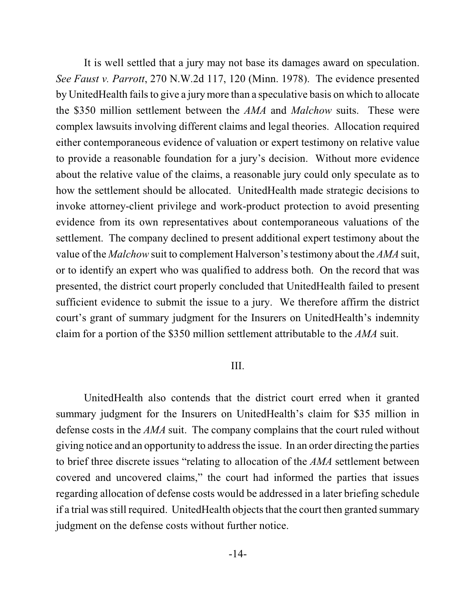It is well settled that a jury may not base its damages award on speculation. *See Faust v. Parrott*, 270 N.W.2d 117, 120 (Minn. 1978). The evidence presented by UnitedHealth fails to give a jury more than a speculative basis on which to allocate the \$350 million settlement between the *AMA* and *Malchow* suits. These were complex lawsuits involving different claims and legal theories. Allocation required either contemporaneous evidence of valuation or expert testimony on relative value to provide a reasonable foundation for a jury's decision. Without more evidence about the relative value of the claims, a reasonable jury could only speculate as to how the settlement should be allocated. UnitedHealth made strategic decisions to invoke attorney-client privilege and work-product protection to avoid presenting evidence from its own representatives about contemporaneous valuations of the settlement. The company declined to present additional expert testimony about the value of the *Malchow* suit to complement Halverson's testimony about the *AMA* suit, or to identify an expert who was qualified to address both. On the record that was presented, the district court properly concluded that UnitedHealth failed to present sufficient evidence to submit the issue to a jury. We therefore affirm the district court's grant of summary judgment for the Insurers on UnitedHealth's indemnity claim for a portion of the \$350 million settlement attributable to the *AMA* suit.

## III.

UnitedHealth also contends that the district court erred when it granted summary judgment for the Insurers on UnitedHealth's claim for \$35 million in defense costs in the *AMA* suit. The company complains that the court ruled without giving notice and an opportunity to addressthe issue. In an order directing the parties to brief three discrete issues "relating to allocation of the *AMA* settlement between covered and uncovered claims," the court had informed the parties that issues regarding allocation of defense costs would be addressed in a later briefing schedule if a trial was still required. United Health objects that the court then granted summary judgment on the defense costs without further notice.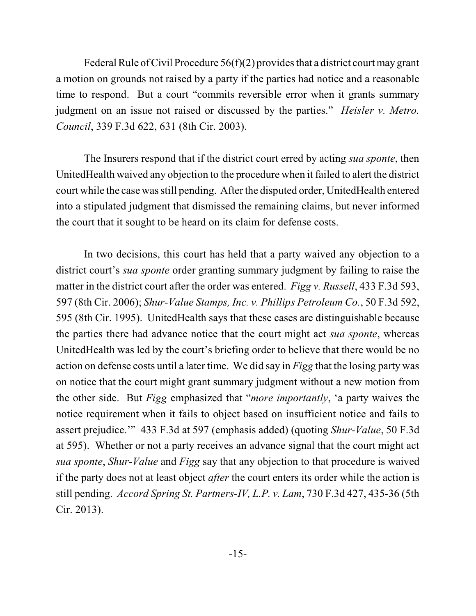Federal Rule of Civil Procedure  $56(f)(2)$  provides that a district court may grant a motion on grounds not raised by a party if the parties had notice and a reasonable time to respond. But a court "commits reversible error when it grants summary judgment on an issue not raised or discussed by the parties." *Heisler v. Metro. Council*, 339 F.3d 622, 631 (8th Cir. 2003).

The Insurers respond that if the district court erred by acting *sua sponte*, then UnitedHealth waived any objection to the procedure when it failed to alert the district court while the case wasstill pending. After the disputed order, UnitedHealth entered into a stipulated judgment that dismissed the remaining claims, but never informed the court that it sought to be heard on its claim for defense costs.

In two decisions, this court has held that a party waived any objection to a district court's *sua sponte* order granting summary judgment by failing to raise the matter in the district court after the order was entered. *Figg v. Russell*, 433 F.3d 593, 597 (8th Cir. 2006); *Shur-Value Stamps, Inc. v. Phillips Petroleum Co.*, 50 F.3d 592, 595 (8th Cir. 1995). UnitedHealth says that these cases are distinguishable because the parties there had advance notice that the court might act *sua sponte*, whereas UnitedHealth was led by the court's briefing order to believe that there would be no action on defense costs until a later time. We did say in *Figg* that the losing party was on notice that the court might grant summary judgment without a new motion from the other side. But *Figg* emphasized that "*more importantly*, 'a party waives the notice requirement when it fails to object based on insufficient notice and fails to assert prejudice.'" 433 F.3d at 597 (emphasis added) (quoting *Shur-Value*, 50 F.3d at 595). Whether or not a party receives an advance signal that the court might act *sua sponte*, *Shur-Value* and *Figg* say that any objection to that procedure is waived if the party does not at least object *after* the court enters its order while the action is still pending. *Accord Spring St. Partners-IV, L.P. v. Lam*, 730 F.3d 427, 435-36 (5th Cir. 2013).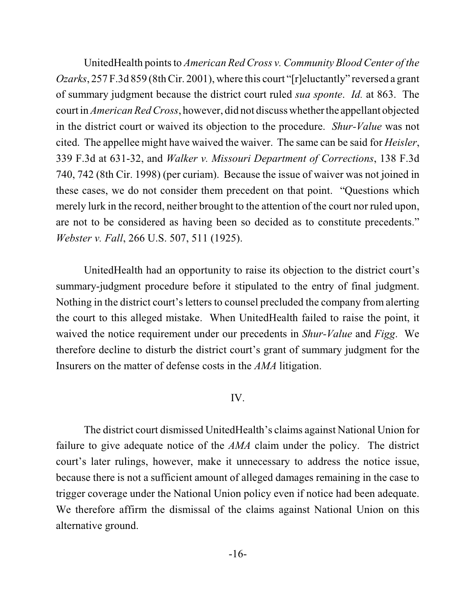UnitedHealth pointsto *American Red Cross v. Community Blood Center of the Ozarks*, 257 F.3d 859 (8thCir. 2001), where this court "[r]eluctantly" reversed a grant of summary judgment because the district court ruled *sua sponte*. *Id.* at 863. The court in *American Red Cross*, however, did not discuss whether the appellant objected in the district court or waived its objection to the procedure. *Shur-Value* was not cited. The appellee might have waived the waiver. The same can be said for *Heisler*, 339 F.3d at 631-32, and *Walker v. Missouri Department of Corrections*, 138 F.3d 740, 742 (8th Cir. 1998) (per curiam). Because the issue of waiver was not joined in these cases, we do not consider them precedent on that point. "Questions which merely lurk in the record, neither brought to the attention of the court nor ruled upon, are not to be considered as having been so decided as to constitute precedents." *Webster v. Fall*, 266 U.S. 507, 511 (1925).

UnitedHealth had an opportunity to raise its objection to the district court's summary-judgment procedure before it stipulated to the entry of final judgment. Nothing in the district court's letters to counsel precluded the company from alerting the court to this alleged mistake. When UnitedHealth failed to raise the point, it waived the notice requirement under our precedents in *Shur-Value* and *Figg*. We therefore decline to disturb the district court's grant of summary judgment for the Insurers on the matter of defense costs in the *AMA* litigation.

## IV.

The district court dismissed UnitedHealth's claims against National Union for failure to give adequate notice of the *AMA* claim under the policy. The district court's later rulings, however, make it unnecessary to address the notice issue, because there is not a sufficient amount of alleged damages remaining in the case to trigger coverage under the National Union policy even if notice had been adequate. We therefore affirm the dismissal of the claims against National Union on this alternative ground.